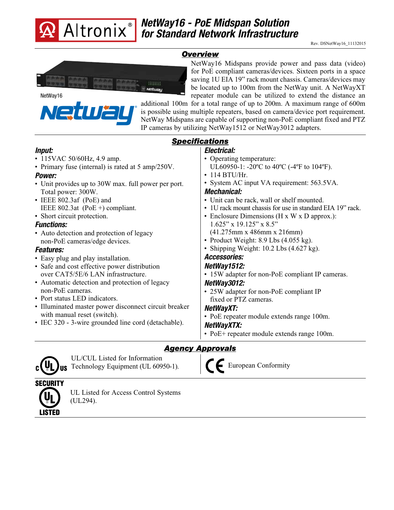

iП

Nel

## *NetWay16 - PoE Midspan Solution for Standard Network Infrastructure*

## *Overview*



**®**

NetWay16 Midspans provide power and pass data (video) for PoE compliant cameras/devices. Sixteen ports in a space saving 1U EIA 19" rack mount chassis. Cameras/devices may be located up to 100m from the NetWay unit. A NetWayXT repeater module can be utilized to extend the distance an

additional 100m for a total range of up to 200m. A maximum range of 600m is possible using multiple repeaters, based on camera/device port requirement. NetWay Midspans are capable of supporting non-PoE compliant fixed and PTZ IP cameras by utilizing NetWay1512 or NetWay3012 adapters.

| <b>Specifications</b>                                 |                                                                |
|-------------------------------------------------------|----------------------------------------------------------------|
| <i>Input:</i>                                         | Electrical:                                                    |
| • 115VAC 50/60Hz, 4.9 amp.                            | • Operating temperature:                                       |
| • Primary fuse (internal) is rated at 5 amp/250V.     | UL60950-1: -20°C to 40°C (-4°F to 104°F).                      |
| Power:                                                | $\cdot$ 114 BTU/Hr.                                            |
| • Unit provides up to 30W max. full power per port.   | • System AC input VA requirement: 563.5VA.                     |
| Total power: 300W.                                    | Mechanical:                                                    |
| • IEEE 802.3af (PoE) and                              | • Unit can be rack, wall or shelf mounted.                     |
| IEEE 802.3at (PoE $+$ ) compliant.                    | • 1U rack mount chassis for use in standard EIA 19" rack.      |
| • Short circuit protection.                           | • Enclosure Dimensions (H x W x D approx.):                    |
| <b>Functions:</b>                                     | $1.625$ " x $19.125$ " x $8.5$ "                               |
| • Auto detection and protection of legacy             | $(41.275 \text{mm} \times 486 \text{mm} \times 216 \text{mm})$ |
| non-PoE cameras/edge devices.                         | • Product Weight: 8.9 Lbs (4.055 kg).                          |
| <b>Features:</b>                                      | • Shipping Weight: $10.2$ Lbs $(4.627 \text{ kg})$ .           |
| • Easy plug and play installation.                    | <b>Accessories:</b>                                            |
| • Safe and cost effective power distribution          | NetWay1512:                                                    |
| over CAT5/5E/6 LAN infrastructure.                    | • 15W adapter for non-PoE compliant IP cameras.                |
| • Automatic detection and protection of legacy        | NetWay3012:                                                    |
| non-PoE cameras.                                      | • 25W adapter for non-PoE compliant IP                         |
| • Port status LED indicators.                         | fixed or PTZ cameras.                                          |
| • Illuminated master power disconnect circuit breaker | NetWayXT:                                                      |
| with manual reset (switch).                           | • PoE repeater module extends range 100m.                      |
| • IEC 320 - 3-wire grounded line cord (detachable).   | NetWayXTX:                                                     |
|                                                       | • PoE+ repeater module extends range 100m.                     |

## *Agency Approvals*



UL/CUL Listed for Information Technology Equipment (UL 60950-1).

European Conformity



UL Listed for Access Control Systems (UL294).